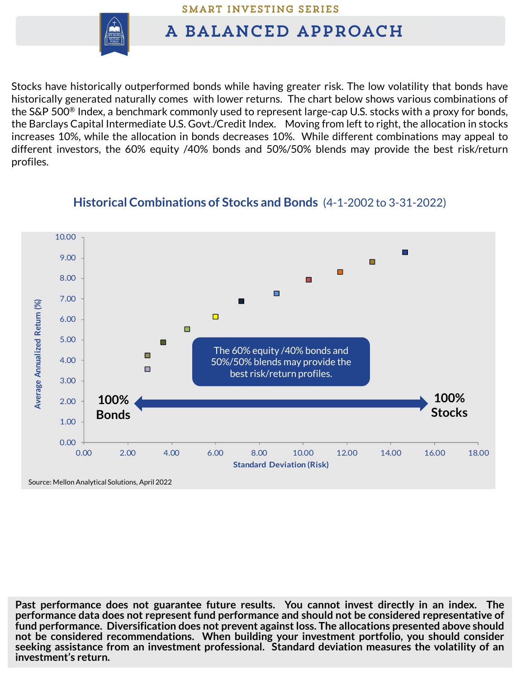SMART INVESTING SERIES



## A BALANCED APPROACH

Stocks have historically outperformed bonds while having greater risk. The low volatility that bonds have historically generated naturally comes with lower returns. The chart below shows various combinations of the S&P 500® Index, a benchmark commonly used to represent large-cap U.S. stocks with a proxy for bonds, the Barclays Capital Intermediate U.S. Govt./Credit Index. Moving from left to right, the allocation in stocks increases 10%, while the allocation in bonds decreases 10%. While different combinations may appeal to different investors, the 60% equity /40% bonds and 50%/50% blends may provide the best risk/return profiles.



## **Historical Combinations of Stocks and Bonds** (4-1-2002 to 3-31-2022)

**Past performance does not guarantee future results. You cannot invest directly in an index. The performance data does not represent fund performance and should not be considered representative of fund performance. Diversification does not prevent against loss. The allocations presented above should not be considered recommendations. When building your investment portfolio, you should consider seeking assistance from an investment professional. Standard deviation measures the volatility of an investment's return.**